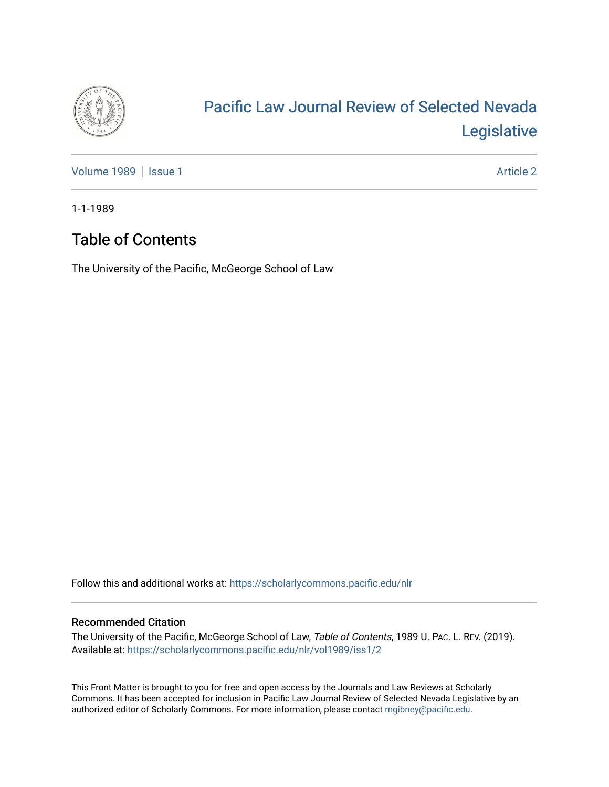

# [Pacific Law Journal Review of Selected Nevada](https://scholarlycommons.pacific.edu/nlr)  [Legislative](https://scholarlycommons.pacific.edu/nlr)

[Volume 1989](https://scholarlycommons.pacific.edu/nlr/vol1989) | [Issue 1](https://scholarlycommons.pacific.edu/nlr/vol1989/iss1) Article 2

1-1-1989

## Table of Contents

The University of the Pacific, McGeorge School of Law

Follow this and additional works at: [https://scholarlycommons.pacific.edu/nlr](https://scholarlycommons.pacific.edu/nlr?utm_source=scholarlycommons.pacific.edu%2Fnlr%2Fvol1989%2Fiss1%2F2&utm_medium=PDF&utm_campaign=PDFCoverPages) 

#### Recommended Citation

The University of the Pacific, McGeorge School of Law, Table of Contents, 1989 U. PAC. L. REV. (2019). Available at: [https://scholarlycommons.pacific.edu/nlr/vol1989/iss1/2](https://scholarlycommons.pacific.edu/nlr/vol1989/iss1/2?utm_source=scholarlycommons.pacific.edu%2Fnlr%2Fvol1989%2Fiss1%2F2&utm_medium=PDF&utm_campaign=PDFCoverPages) 

This Front Matter is brought to you for free and open access by the Journals and Law Reviews at Scholarly Commons. It has been accepted for inclusion in Pacific Law Journal Review of Selected Nevada Legislative by an authorized editor of Scholarly Commons. For more information, please contact [mgibney@pacific.edu](mailto:mgibney@pacific.edu).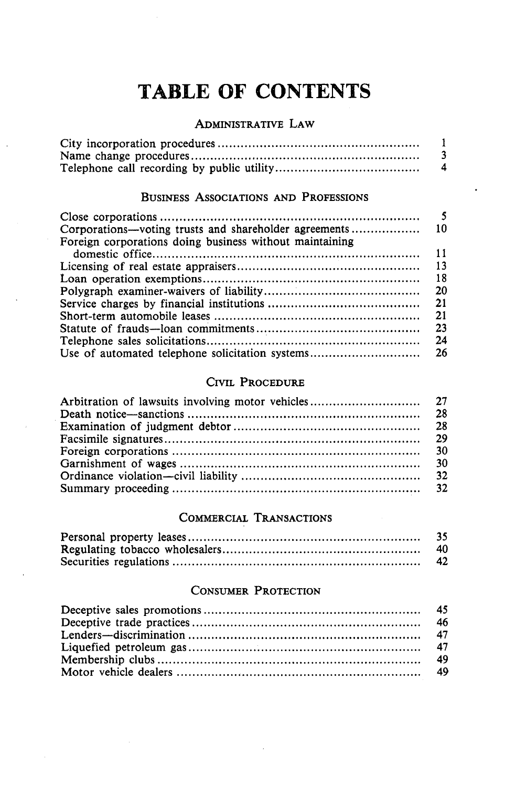## **TABLE OF CONTENTS**

#### ADMINISTRATIVE LAW

| $\mathbf{A}$ |
|--------------|

#### BUSINESS AsSOCIATIONS AND PROFESSIONS

| Corporations—voting trusts and shareholder agreements   | -10 |
|---------------------------------------------------------|-----|
| Foreign corporations doing business without maintaining |     |
|                                                         | 11  |
|                                                         | 13  |
|                                                         | 18  |
|                                                         | 20  |
|                                                         | 21  |
|                                                         | 21  |
|                                                         | 23  |
|                                                         | 24  |
| Use of automated telephone solicitation systems         | 26  |

#### CIVIL PROCEDURE

#### COMMERCIAL TRANSACTIONS

| -35 |
|-----|
| 40. |
| 42  |

#### CONSUMER PROTECTION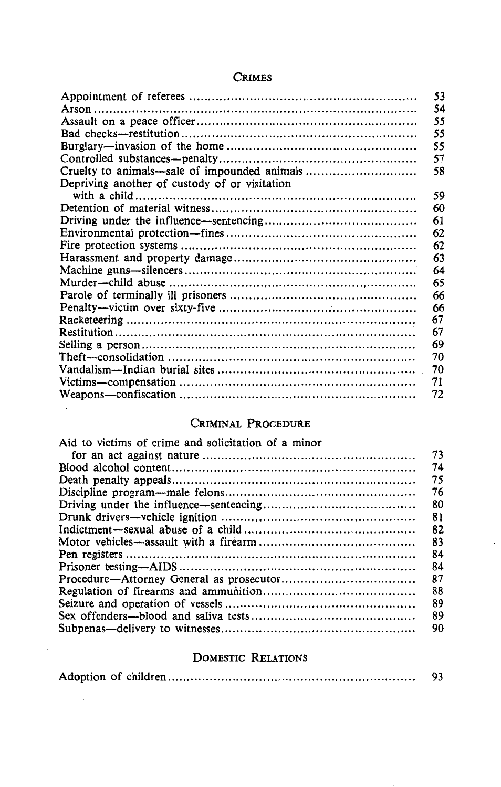#### CRIMES

|                                               | 53 |
|-----------------------------------------------|----|
|                                               | 54 |
|                                               | 55 |
|                                               | 55 |
|                                               | 55 |
|                                               | 57 |
| Cruelty to animals—sale of impounded animals  | 58 |
| Depriving another of custody of or visitation |    |
|                                               | 59 |
|                                               | 60 |
|                                               | 61 |
|                                               | 62 |
|                                               | 62 |
|                                               | 63 |
|                                               | 64 |
|                                               | 65 |
|                                               | 66 |
|                                               | 66 |
|                                               | 67 |
|                                               | 67 |
|                                               | 69 |
|                                               | 70 |
|                                               | 70 |
|                                               | 71 |
|                                               | 72 |

#### CRIMINAL PROCEDURE

| Aid to victims of crime and solicitation of a minor |    |
|-----------------------------------------------------|----|
|                                                     | 73 |
|                                                     | 74 |
|                                                     | 75 |
|                                                     | 76 |
|                                                     | 80 |
|                                                     | 81 |
|                                                     | 82 |
|                                                     | 83 |
|                                                     | 84 |
|                                                     | 84 |
|                                                     | 87 |
|                                                     | 88 |
|                                                     | 89 |
|                                                     | 89 |
|                                                     | 90 |
|                                                     |    |

#### DOMESTIC RELATIONS

|  |  | 93 |
|--|--|----|
|--|--|----|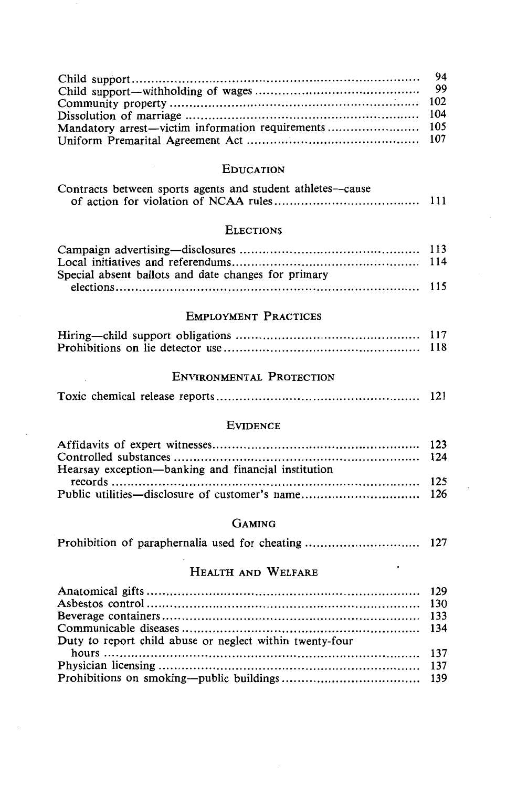| Mandatory arrest—victim information requirements 105 |  |
|------------------------------------------------------|--|
|                                                      |  |

#### EDUCATION

| Contracts between sports agents and student athletes—cause |      |
|------------------------------------------------------------|------|
|                                                            | -111 |

#### **ELECTIONS**

| Special absent ballots and date changes for primary |  |
|-----------------------------------------------------|--|
|                                                     |  |

#### EMPLOYMENT PRACTICES

| 117 |
|-----|
| 118 |

#### ENVIRONMENTAL PROTECTION

|--|--|--|--|--|--|

#### EVIDENCE

| Hearsay exception—banking and financial institution |  |
|-----------------------------------------------------|--|
|                                                     |  |
|                                                     |  |

#### GAMING

|--|--|--|--|--|--|--|--|

#### HEALTH AND WELFARE

| Duty to report child abuse or neglect within twenty-four |  |
|----------------------------------------------------------|--|
|                                                          |  |
|                                                          |  |
|                                                          |  |
|                                                          |  |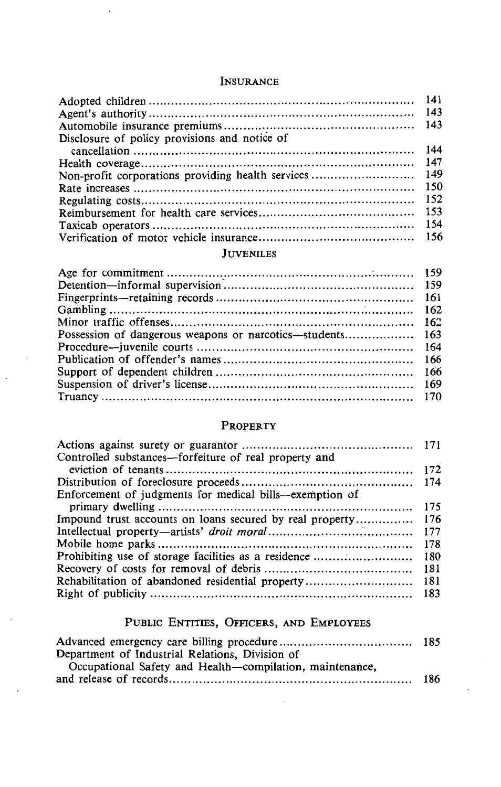#### INSURANCE

| Disclosure of policy provisions and notice of |  |
|-----------------------------------------------|--|
|                                               |  |
|                                               |  |
|                                               |  |
|                                               |  |
|                                               |  |
|                                               |  |
|                                               |  |
|                                               |  |

#### JUVENILES

#### PROPERTY

| Controlled substances-forfeiture of real property and    |     |
|----------------------------------------------------------|-----|
|                                                          |     |
|                                                          |     |
| Enforcement of judgments for medical bills—exemption of  |     |
|                                                          | 175 |
| Impound trust accounts on loans secured by real property | 176 |
|                                                          | 177 |
|                                                          | 178 |
| Prohibiting use of storage facilities as a residence     | 180 |
|                                                          | 181 |
|                                                          |     |
|                                                          |     |
|                                                          |     |

## PUBLIC ENTITIES, OFFICERS, AND EMPLOYEES